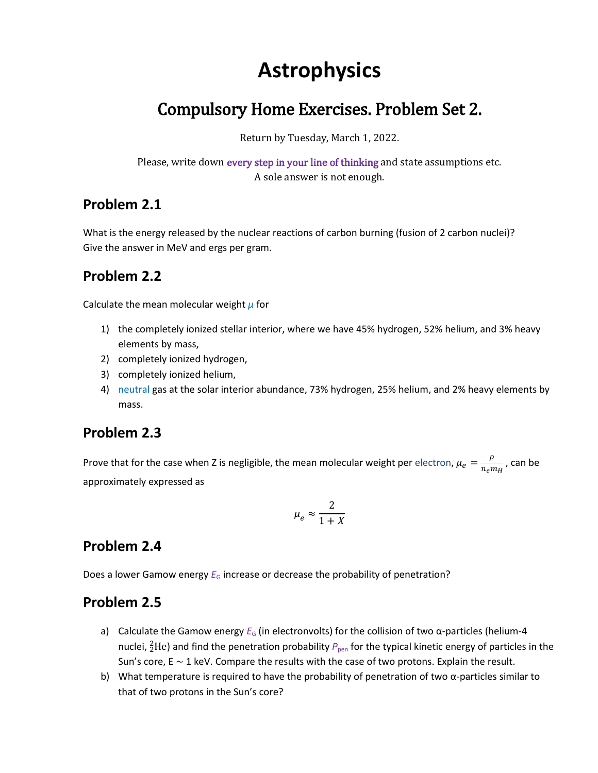# **Astrophysics**

# Compulsory Home Exercises. Problem Set 2.

Return by Tuesday, March 1, 2022.

Please, write down every step in your line of thinking and state assumptions etc. A sole answer is not enough.

#### **Problem 2.1**

What is the energy released by the nuclear reactions of carbon burning (fusion of 2 carbon nuclei)? Give the answer in MeV and ergs per gram.

#### **Problem 2.2**

Calculate the mean molecular weight *μ* for

- 1) the completely ionized stellar interior, where we have 45% hydrogen, 52% helium, and 3% heavy elements by mass,
- 2) completely ionized hydrogen,
- 3) completely ionized helium,
- 4) neutral gas at the solar interior abundance, 73% hydrogen, 25% helium, and 2% heavy elements by mass.

#### **Problem 2.3**

Prove that for the case when Z is negligible, the mean molecular weight per electron,  $\mu_e = \frac{\rho}{n}$  $\frac{P}{n_e m_H}$ , can be approximately expressed as

$$
\mu_e \approx \frac{2}{1+X}
$$

#### **Problem 2.4**

Does a lower Gamow energy  $E_G$  increase or decrease the probability of penetration?

#### **Problem 2.5**

- a) Calculate the Gamow energy *E<sub>G</sub>* (in electronvolts) for the collision of two α-particles (helium-4 nuclei, <sup>2</sup>He) and find the penetration probability  $P_{\text{pen}}$  for the typical kinetic energy of particles in the Sun's core, E ∼ 1 keV. Compare the results with the case of two protons. Explain the result.
- b) What temperature is required to have the probability of penetration of two  $\alpha$ -particles similar to that of two protons in the Sun's core?